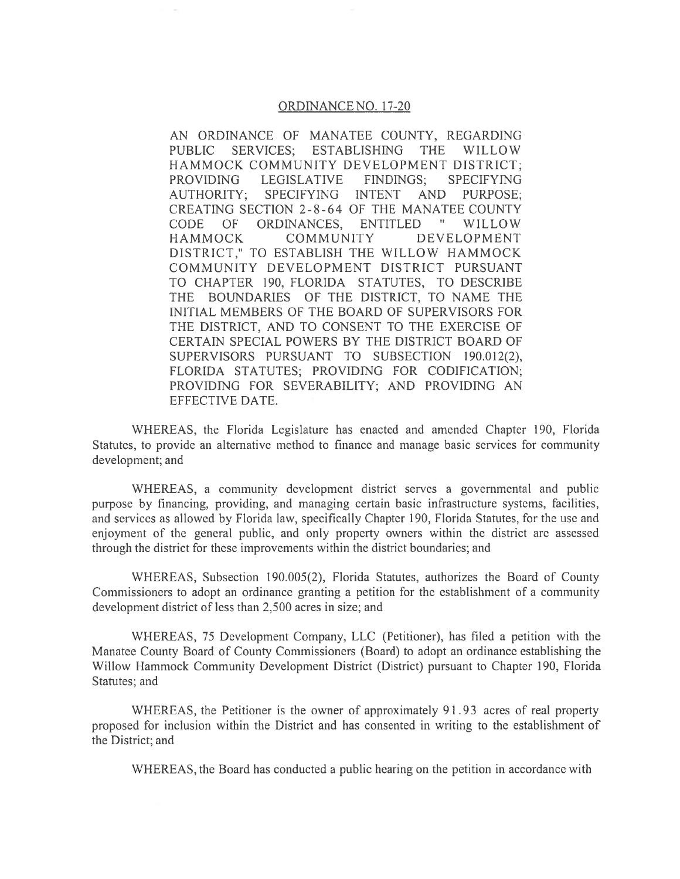## ORDINANCE NO. 17-20

AN ORDINANCE OF MANATEE COUNTY, REGARDING **PUBLIC SERVICES: ESTABLISHING THE WILLOW** HAMMOCK COMMUNITY DEVELOPMENT DISTRICT; **PROVIDING LEGISLATIVE FINDINGS: SPECIFYING AUTHORITY:** SPECIFYING **INTENT AND** PURPOSE: CREATING SECTION 2-8-64 OF THE MANATEE COUNTY **CODE**  $OF$ ORDINANCES. ENTITLED  $\mathbf{H}_{\mathrm{c}}$ WILLOW **HAMMOCK COMMUNITY** DEVELOPMENT DISTRICT," TO ESTABLISH THE WILLOW HAMMOCK COMMUNITY DEVELOPMENT DISTRICT PURSUANT TO CHAPTER 190, FLORIDA STATUTES, TO DESCRIBE THE BOUNDARIES OF THE DISTRICT, TO NAME THE INITIAL MEMBERS OF THE BOARD OF SUPERVISORS FOR THE DISTRICT, AND TO CONSENT TO THE EXERCISE OF CERTAIN SPECIAL POWERS BY THE DISTRICT BOARD OF SUPERVISORS PURSUANT TO SUBSECTION 190.012(2), FLORIDA STATUTES; PROVIDING FOR CODIFICATION; PROVIDING FOR SEVERABILITY; AND PROVIDING AN EFFECTIVE DATE.

WHEREAS, the Florida Legislature has enacted and amended Chapter 190, Florida Statutes, to provide an alternative method to finance and manage basic services for community development; and

WHEREAS, a community development district serves a governmental and public purpose by financing, providing, and managing certain basic infrastructure systems, facilities, and services as allowed by Florida law, specifically Chapter 190, Florida Statutes, for the use and enjoyment of the general public, and only property owners within the district are assessed through the district for these improvements within the district boundaries; and

WHEREAS, Subsection 190.005(2), Florida Statutes, authorizes the Board of County Commissioners to adopt an ordinance granting a petition for the establishment of a community development district of less than 2,500 acres in size; and

WHEREAS, 75 Development Company, LLC (Petitioner), has filed a petition with the Manatee County Board of County Commissioners (Board) to adopt an ordinance establishing the Willow Hammock Community Development District (District) pursuant to Chapter 190, Florida Statutes; and

WHEREAS, the Petitioner is the owner of approximately 91.93 acres of real property proposed for inclusion within the District and has consented in writing to the establishment of the District; and

WHEREAS, the Board has conducted a public hearing on the petition in accordance with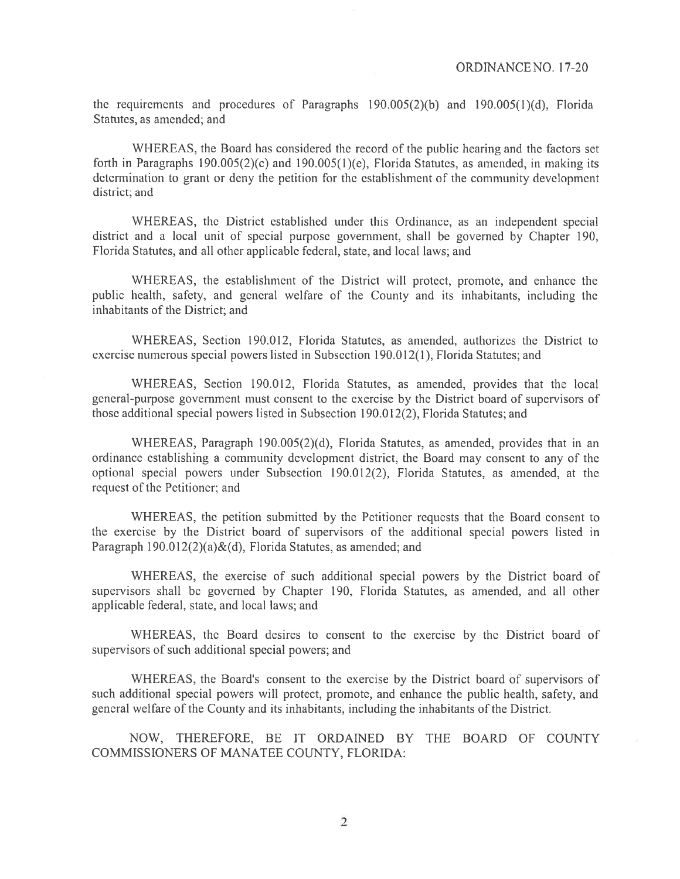the requirements and procedures of Paragraphs  $190.005(2)(b)$  and  $190.005(1)(d)$ , Florida Statutes, as amended; and

WHEREAS, the Board has considered the record of the public hearing and the factors set forth in Paragraphs 190.005(2)(c) and 190.005(1)(e), Florida Statutes, as amended, in making its determination to grant or deny the petition for the establishment of the community development district; and

WHEREAS, the District established under this Ordinance, as an independent special district and a local unit of special purpose government, shall be governed by Chapter 190, Florida Statutes, and all other applicable federal, state, and local laws; and

WHEREAS, the establishment of the District will protect, promote, and enhance the public health, safety, and general welfare of the County and its inhabitants, including the inhabitants of the District; and

WHEREAS, Section 190.012, Florida Statutes, as amended, authorizes the District to exercise numerous special powers listed in Subsection 190.012(1), Florida Statutes; and

WHEREAS, Section 190.012, Florida Statutes, as amended, provides that the local general-purpose government must consent to the exercise by the District board of supervisors of those additional special powers listed in Subsection 190.012(2), Florida Statutes; and

WHEREAS, Paragraph 190.005(2)(d), Florida Statutes, as amended, provides that in an ordinance establishing a community development district, the Board may consent to any of the optional special powers under Subsection 190.012(2), Florida Statutes, as amended, at the request of the Petitioner; and

WHEREAS, the petition submitted by the Petitioner requests that the Board consent to the exercise by the District board of supervisors of the additional special powers listed in Paragraph 190.012(2)(a) & (d), Florida Statutes, as amended; and

WHEREAS, the exercise of such additional special powers by the District board of supervisors shall be governed by Chapter 190, Florida Statutes, as amended, and all other applicable federal, state, and local laws; and

WHEREAS, the Board desires to consent to the exercise by the District board of supervisors of such additional special powers; and

WHEREAS, the Board's consent to the exercise by the District board of supervisors of such additional special powers will protect, promote, and enhance the public health, safety, and general welfare of the County and its inhabitants, including the inhabitants of the District.

NOW, THEREFORE, BE IT ORDAINED BY THE BOARD OF COUNTY COMMISSIONERS OF MANATEE COUNTY, FLORIDA:

 $\overline{2}$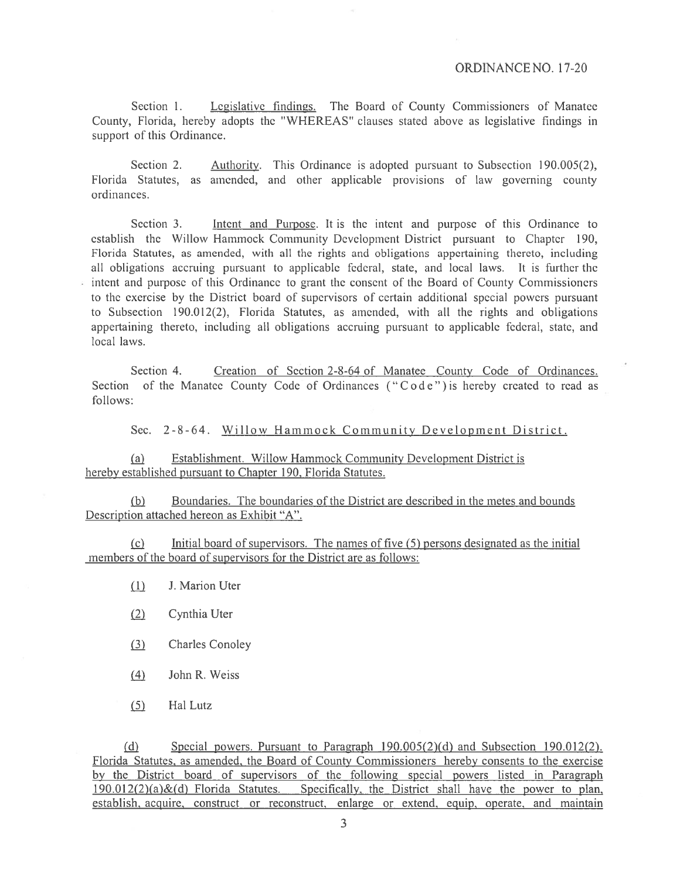Section 1. Legislative findings. The Board of County Commissioners of Manatee County, Florida, hereby adopts the "WHEREAS" clauses stated above as legislative findings in support of this Ordinance.

Authority. This Ordinance is adopted pursuant to Subsection 190.005(2), Section 2. Florida Statutes, as amended, and other applicable provisions of law governing county ordinances.

Section 3. Intent and Purpose. It is the intent and purpose of this Ordinance to establish the Willow Hammock Community Development District pursuant to Chapter 190, Florida Statutes, as amended, with all the rights and obligations appertaining thereto, including all obligations accruing pursuant to applicable federal, state, and local laws. It is further the intent and purpose of this Ordinance to grant the consent of the Board of County Commissioners to the exercise by the District board of supervisors of certain additional special powers pursuant to Subsection 190.012(2), Florida Statutes, as amended, with all the rights and obligations appertaining thereto, including all obligations accruing pursuant to applicable federal, state, and local laws.

Section 4. Creation of Section 2-8-64 of Manatee County Code of Ordinances. Section of the Manatee County Code of Ordinances ("Code") is hereby created to read as follows:

Sec. 2-8-64. Willow Hammock Community Development District.

 $(a)$ Establishment. Willow Hammock Community Development District is hereby established pursuant to Chapter 190, Florida Statutes.

Boundaries. The boundaries of the District are described in the metes and bounds  $(b)$ Description attached hereon as Exhibit "A".

Initial board of supervisors. The names of five (5) persons designated as the initial  $(c)$ members of the board of supervisors for the District are as follows:

- $(1)$ J. Marion Uter
- $(2)$ Cynthia Uter
- $(3)$ **Charles Conoley**
- John R. Weiss  $(4)$
- $(5)$ Hal Lutz

Special powers. Pursuant to Paragraph  $190.005(2)(d)$  and Subsection  $190.012(2)$ .  $(d)$ Florida Statutes, as amended, the Board of County Commissioners hereby consents to the exercise by the District board of supervisors of the following special powers listed in Paragraph  $190.012(2)(a) \& (d)$  Florida Statutes. Specifically, the District shall have the power to plan, establish, acquire, construct or reconstruct, enlarge or extend, equip, operate, and maintain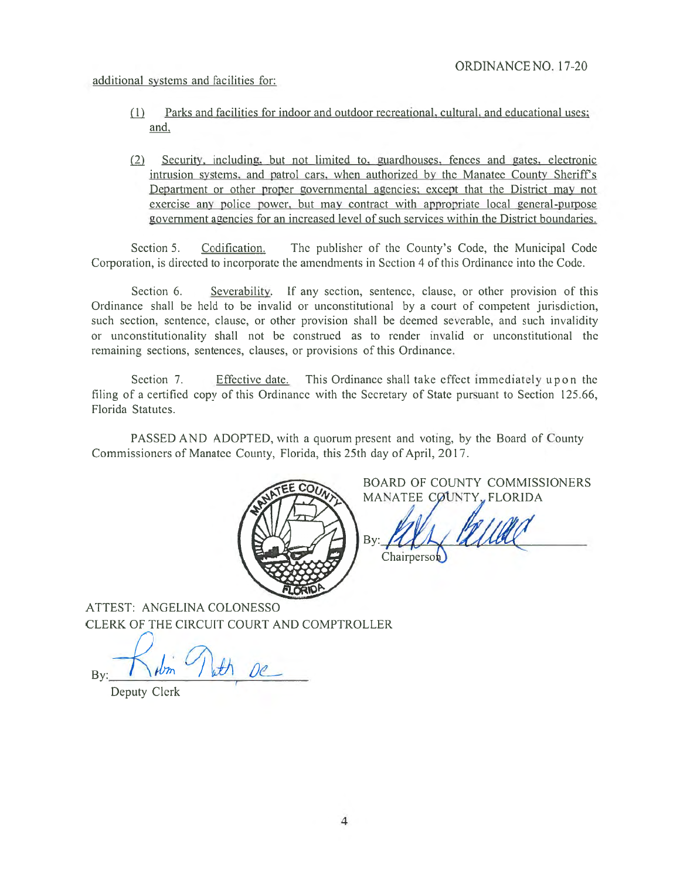additional systems and facilities for:

- $(1)$ Parks and facilities for indoor and outdoor recreational, cultural, and educational uses; and,
- (2) Security, including, but not limited to, guardhouses, fences and gates, electronic intrusion systems, and patrol cars, when authorized by the Manatee County Sheriff's Department or other proper governmental agencies; except that the District may not exercise any police power, but may contract with appropriate local general-purpose government agencies for an increased level of such services within the District boundaries.

Section 5. Codification. The publisher of the County's Code, the Municipal Code Corporation, is directed to incorporate the amendments in Section 4 of this Ordinance into the Code.

Section 6. Severability. If any section, sentence, clause, or other provision of this Ordinance shall be held to be invalid or unconstitutional by a court of competent jurisdiction, such section, sentence, clause, or other provision shall be deemed severable, and such invalidity or unconstitutionality shall not be construed as to render invalid or unconstitutional the remaining sections, sentences, clauses, or provisions of this Ordinance.

Section 7. Effective date. This Ordinance shall take effect immediately upon the filing of a certified copy of this Ordinance with the Secretary of State pursuant to Section 125.66, Florida Statutes.

PASSED AND ADOPTED, with a quorum present and voting, by the Board of County Commissioners of Manatee County, Florida, this 25th day of April, 2017.



BOARD OF COUNTY COMMISSIONERS MANATEE COUNTY, FLORIDA

Bv: Chairperson

ATTEST: ANGELINA COLONESSO CLERK OF THE CIRCUIT COURT AND COMPTROLLER

 $t$   $\theta$ 

Deputy Clerk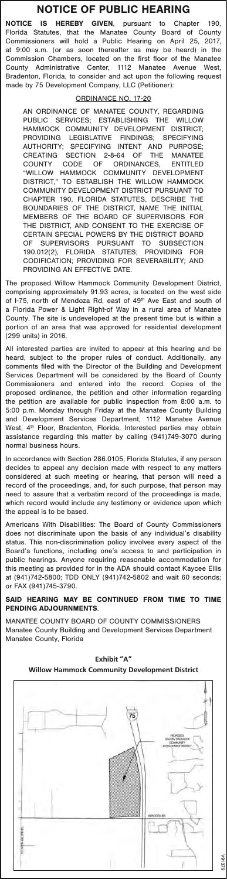## **NOTICE OF PUBLIC HEARING**

**NOTICE IS HEREBY GIVEN**, pursuant to Chapter 190, Florida Statutes, that the Manatee County Board of County Commissioners will hold a Public Hearing on April 25, 2017, at 9:00 a.m. (or as soon thereafter as may be heard) in the Commission Chambers, located on the first floor of the Manatee County Administrative Center, 1112 Manatee Avenue West, Bradenton, Florida, to consider and act upon the following request made by 75 Development Company, LLC (Petitioner):

## ORDINANCE NO. 17

AN ORDINANCE OF MANATEE COUNTY, REGARDING<br>PUBLIC SERVICES: ESTABLISHING THE WILLOW SERVICES; ESTABLISHING THE WILLOW<br>CK COMMUNITY DEVELOPMENT DISTRICT;<br>ING LEGISLATIVE FINDINGS; SPECIFYING<br>PUBLICATIVE INTENT AND PUBLICATE HAMMOCK COMMUNITY DEVELOPMENT DISTRICT; PROVIDING LEGISLATIVE FINDINGS; SPECIFYING AUTHORITY; SPECIFYING INTENT AND PURPOSE; CREATING SECTION 2-8-64 OF THE MANATEE COUNTY CODE OF ORDINANCES, ENTITLED "WILLOW HAMMOCK COMMUNITY DEVELOPMENT DISTRICT," TO ESTABLISH THE WILLOW HAMMOCK COMMUNITY DEVELOPMENT DISTRICT PURSUANT TO FLORIDA STATUTES, BOUNDARIES OF THE DISTRICT, NAME THE INITIAL MEMBERS OF THE BOARD OF SUPERVISORS FOR THE DISTRICT, AND CONSENT TO THE EXERCISE OF CERTAIN SPECIAL POWERS BY THE DISTRICT BOARD<br>OF SUPERVISORS PURSUANT TO SUBSECTION OF SUPERVISORS PURSUANT TO SUBSECTION 190.012(2), FLORIDA STATUTES; PROVIDING FOR CODIFICATION; PROVIDING FOR SEVERABILITY; AND PROVIDING AN EFFECTIVE DATE.

The proposed Willow Hammock Community Development District, comprising approximately 91.93 acres, is located on the west side of I-75, north of Mendoza Rd, east of  $49<sup>th</sup>$  Ave East and south of a Florida Power & Light Right-of Way in a rural area of Manatee County. The site is undeveloped at the present time but is within a portion of an area that was approved for residential development (299 units) in 2016.

All interested parties are invited to appear at this hearing and be heard, subject to the proper rules of conduct. Additionally, any comments filed with the Director of the Building and Development Services Department will be considered by the Board of County Commissioners and entered into the record. Copies of the proposed ordinance, the petition and other information regarding the petition are available for public inspection from 8:00 a.m. to 5:00 p.m. Monday through Friday at the Manatee County Building and Development Services Department, 1112 Manatee Avenue West, 4<sup>th</sup> Floor, Bradenton, Florida. Interested parties may obtain assistance regarding this matter by calling (941)749-3070 during normal business hours.

In accordance with Section 286.0105, Florida Statutes, if any person decides to appeal any decision made with respect to any matters considered at such meeting or hearing, that person will need a record of the proceedings, and, for such purpose, that person may need to assure that a verbatim record of the proceedings is made, which record would include any testimony or evidence upon which the appeal is to be based.

Americans With Disabilities: The Board of County Commissioners does not discriminate upon the basis of any individual's disability status. This non-discrimination policy involves every aspect of the Board's functions, including one's access to and participation in public hearings. Anyone requiring reasonable accommodation for this meeting as provided for in the ADA should contact Kaycee Ellis at (941)742-5800; TDD ONLY (941)742-5802 and wait 60 seconds; or FAX (941)745-3790.

**SAID HEARING MAY BE CONTINUED FROM TIME TO TIME PENDING ADJOURNMENTS**.

MANATEE COUNTY BOARD OF COUNTY COMMISSIONERS Manatee County Building and Development Services Department Manatee County, Florida